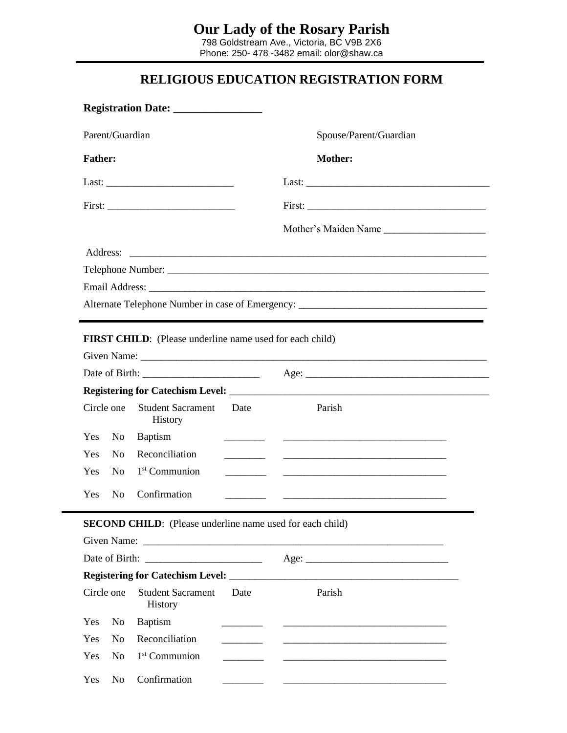Phone: 250- 478 -3482 email: olor@shaw.ca

## **RELIGIOUS EDUCATION REGISTRATION FORM**

| Parent/Guardian                                                  |                |                                                                 |                                                                                    | Spouse/Parent/Guardian                                                                                                                                                                                                               |  |  |  |  |  |  |
|------------------------------------------------------------------|----------------|-----------------------------------------------------------------|------------------------------------------------------------------------------------|--------------------------------------------------------------------------------------------------------------------------------------------------------------------------------------------------------------------------------------|--|--|--|--|--|--|
| <b>Father:</b>                                                   |                |                                                                 |                                                                                    | <b>Mother:</b>                                                                                                                                                                                                                       |  |  |  |  |  |  |
|                                                                  |                |                                                                 |                                                                                    |                                                                                                                                                                                                                                      |  |  |  |  |  |  |
|                                                                  |                |                                                                 |                                                                                    |                                                                                                                                                                                                                                      |  |  |  |  |  |  |
|                                                                  |                |                                                                 |                                                                                    |                                                                                                                                                                                                                                      |  |  |  |  |  |  |
| Address:                                                         |                |                                                                 |                                                                                    |                                                                                                                                                                                                                                      |  |  |  |  |  |  |
|                                                                  |                |                                                                 |                                                                                    |                                                                                                                                                                                                                                      |  |  |  |  |  |  |
|                                                                  |                |                                                                 |                                                                                    |                                                                                                                                                                                                                                      |  |  |  |  |  |  |
|                                                                  |                |                                                                 |                                                                                    |                                                                                                                                                                                                                                      |  |  |  |  |  |  |
|                                                                  |                | <b>FIRST CHILD:</b> (Please underline name used for each child) |                                                                                    |                                                                                                                                                                                                                                      |  |  |  |  |  |  |
|                                                                  |                |                                                                 |                                                                                    |                                                                                                                                                                                                                                      |  |  |  |  |  |  |
|                                                                  |                |                                                                 |                                                                                    |                                                                                                                                                                                                                                      |  |  |  |  |  |  |
| Circle one                                                       |                | <b>Student Sacrament</b><br>History                             | Date                                                                               | Parish                                                                                                                                                                                                                               |  |  |  |  |  |  |
| Yes                                                              | N <sub>0</sub> | <b>Baptism</b>                                                  |                                                                                    |                                                                                                                                                                                                                                      |  |  |  |  |  |  |
| Yes                                                              | N <sub>0</sub> | Reconciliation                                                  |                                                                                    |                                                                                                                                                                                                                                      |  |  |  |  |  |  |
| <b>Yes</b>                                                       | N <sub>0</sub> | $1st$ Communion                                                 |                                                                                    | <u> 1989 - Johann John Stone, markin film yn y brenin y brenin y brenin y brenin y brenin y brenin y brenin y br</u>                                                                                                                 |  |  |  |  |  |  |
| <b>Yes</b>                                                       | N <sub>0</sub> | Confirmation                                                    |                                                                                    |                                                                                                                                                                                                                                      |  |  |  |  |  |  |
| <b>SECOND CHILD:</b> (Please underline name used for each child) |                |                                                                 |                                                                                    |                                                                                                                                                                                                                                      |  |  |  |  |  |  |
|                                                                  |                |                                                                 |                                                                                    |                                                                                                                                                                                                                                      |  |  |  |  |  |  |
|                                                                  |                |                                                                 |                                                                                    |                                                                                                                                                                                                                                      |  |  |  |  |  |  |
|                                                                  |                |                                                                 |                                                                                    |                                                                                                                                                                                                                                      |  |  |  |  |  |  |
| Circle one                                                       |                | <b>Student Sacrament</b><br>History                             | Date                                                                               | Parish                                                                                                                                                                                                                               |  |  |  |  |  |  |
| Yes                                                              | N <sub>o</sub> | <b>Baptism</b>                                                  | $\overline{\phantom{a}}$ and $\overline{\phantom{a}}$ and $\overline{\phantom{a}}$ |                                                                                                                                                                                                                                      |  |  |  |  |  |  |
| Yes                                                              | N <sub>0</sub> | Reconciliation                                                  | $\overline{\phantom{a}}$                                                           | <u> 1989 - Johann Harry Harry Harry Harry Harry Harry Harry Harry Harry Harry Harry Harry Harry Harry Harry Harry Harry Harry Harry Harry Harry Harry Harry Harry Harry Harry Harry Harry Harry Harry Harry Harry Harry Harry Ha</u> |  |  |  |  |  |  |
| Yes                                                              | N <sub>0</sub> | 1 <sup>st</sup> Communion                                       |                                                                                    | <u> 2000 - Jan James James Jan James James James James James James James James James James James James James Jam</u>                                                                                                                 |  |  |  |  |  |  |
| Yes                                                              | N <sub>o</sub> | Confirmation                                                    |                                                                                    |                                                                                                                                                                                                                                      |  |  |  |  |  |  |